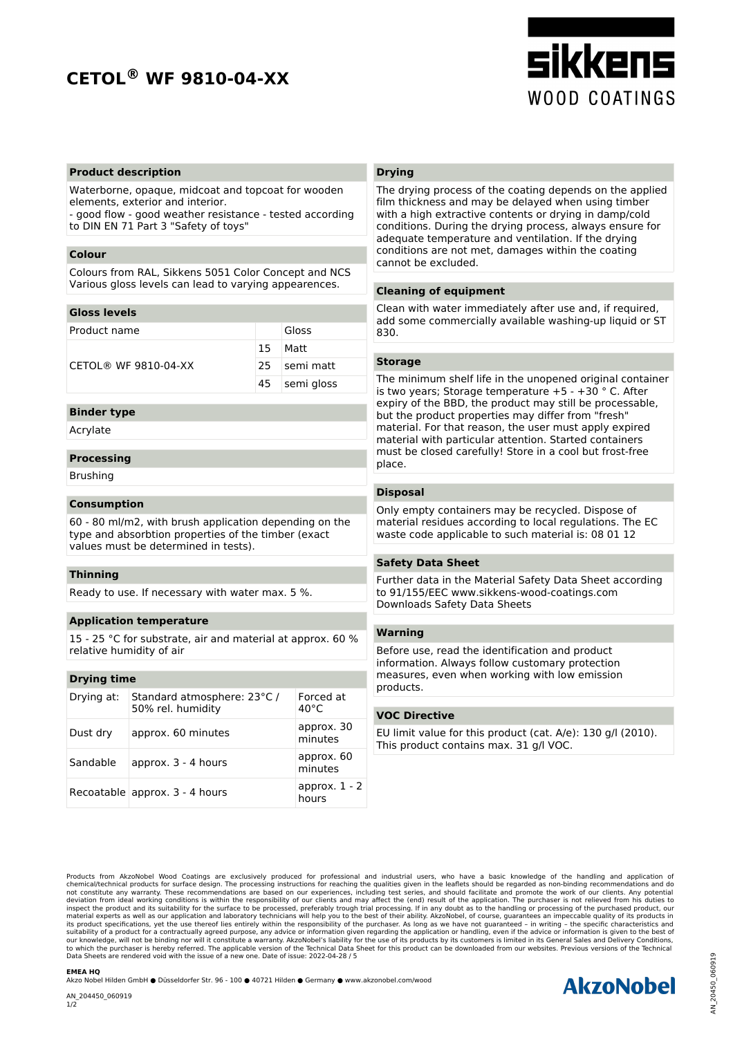## **CETOL® WF 9810-04-XX**



#### **Product description**

Waterborne, opaque, midcoat and topcoat for wooden elements, exterior and interior.

- good flow - good weather resistance - tested according to DIN EN 71 Part 3 "Safety of toys"

#### **Colour**

Colours from RAL, Sikkens 5051 Color Concept and NCS Various gloss levels can lead to varying appearences.

#### **Gloss levels**

| Product name                  | Gloss         |
|-------------------------------|---------------|
|                               | 15 Matt       |
| $CFTOI \otimes WF 9810-04-XX$ | 25 semi matt  |
|                               | 45 semi gloss |
|                               |               |

### **Binder type**

Acrylate

#### **Processing**

Brushing

#### **Consumption**

60 - 80 ml/m2, with brush application depending on the type and absorbtion properties of the timber (exact values must be determined in tests).

#### **Thinning**

Ready to use. If necessary with water max. 5 %.

#### **Application temperature**

15 - 25 °C for substrate, air and material at approx. 60 % relative humidity of air

#### **Drying time**

| Drying at: | Standard atmosphere: 23°C /<br>50% rel. humidity | Forced at<br>$40^{\circ}$ C | p<br>V |
|------------|--------------------------------------------------|-----------------------------|--------|
| Dust dry   | approx. 60 minutes                               | approx. 30<br>minutes       | F<br>т |
| Sandable   | approx. 3 - 4 hours                              | approx. 60<br>minutes       |        |
|            | Recoatable approx. 3 - 4 hours                   | approx. $1 - 2$<br>hours    |        |

#### **Drying**

The drying process of the coating depends on the applied film thickness and may be delayed when using timber with a high extractive contents or drying in damp/cold conditions. During the drying process, always ensure for adequate temperature and ventilation. If the drying conditions are not met, damages within the coating cannot be excluded.

#### **Cleaning of equipment**

Clean with water immediately after use and, if required, add some commercially available washing-up liquid or ST 830.

#### **Storage**

The minimum shelf life in the unopened original container is two years; Storage temperature +5 - +30 ° C. After expiry of the BBD, the product may still be processable, but the product properties may differ from "fresh" material. For that reason, the user must apply expired material with particular attention. Started containers must be closed carefully! Store in a cool but frost-free place.

#### **Disposal**

Only empty containers may be recycled. Dispose of material residues according to local regulations. The EC waste code applicable to such material is: 08 01 12

#### **Safety Data Sheet**

Further data in the Material Safety Data Sheet according to 91/155/EEC www.sikkens-wood-coatings.com Downloads Safety Data Sheets

#### **Warning**

Before use, read the identification and product information. Always follow customary protection measures, even when working with low emission products.

## **VOC Directive**

EU limit value for this product (cat. A/e): 130 g/l (2010). This product contains max. 31 g/l VOC.

Products from AkzoNobel Wood Coatings are exclusively produced for professional and industrial users, who have a basic knowledge of the handling and application of<br>chemical/technical products for surface design. The proces deviation from ideal working conditions is within the responsibility of our clients and may affect the (end) result of the application. The purchaser is not relieved from his duties to the handling or processing, if in any Data Sheets are rendered void with the issue of a new one. Date of issue: 2022-04-28 / 5 Data Sheets are rendered void with the issue of a new one. Date of issue: 2022-04-28 / 5<br>
EMEA HQ<br>Akzo Nobel Hilden GmbH ● Düsseldorfer Str. 96 - 100 ● 40721 Hilden ● Germany ● www.akzonobel.com/wood<br>AN\_204450\_060919<br>1/2<br>

#### **EMEA HQ**

Akzo Nobel Hilden GmbH ● Düsseldorfer Str. 96 - 100 ● 40721 Hilden ● Germany ● www.akzonobel.com/wood